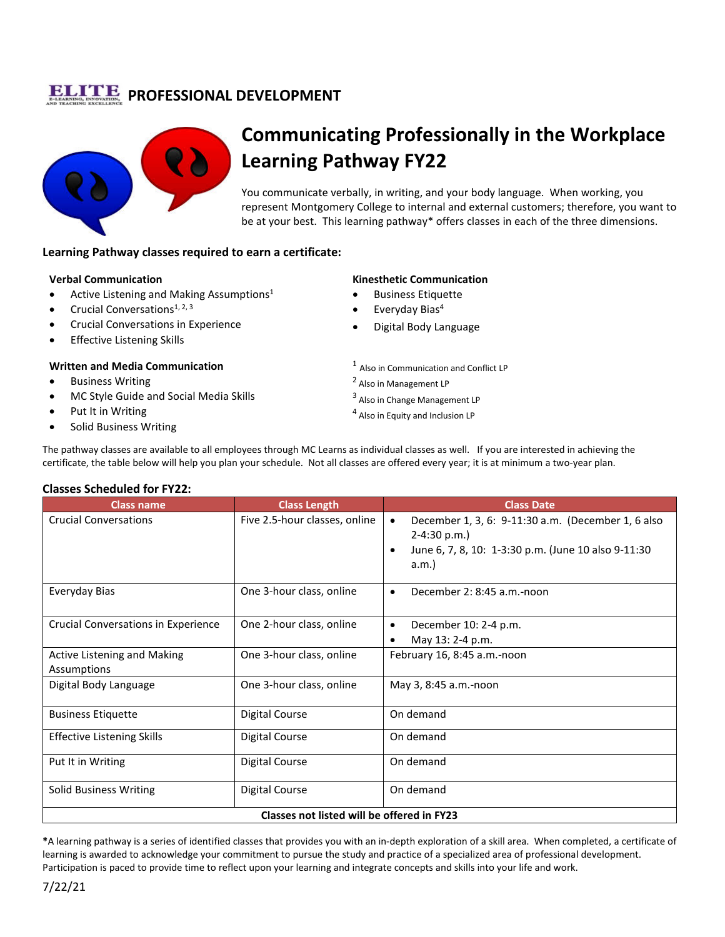## **PROFESSIONAL DEVELOPMENT**



# **Communicating Professionally in the Workplace Learning Pathway FY22**

You communicate verbally, in writing, and your body language. When working, you represent Montgomery College to internal and external customers; therefore, you want to be at your best. This learning pathway\* offers classes in each of the three dimensions.

#### **Learning Pathway classes required to earn a certificate:**

#### **Verbal Communication**

- Active Listening and Making Assumptions<sup>1</sup>
- Crucial Conversations<sup>1, 2, 3</sup>
- Crucial Conversations in Experience
- Effective Listening Skills

#### **Written and Media Communication**

- **Business Writing**
- MC Style Guide and Social Media Skills
- Put It in Writing
- Solid Business Writing

#### **Kinesthetic Communication**

- Business Etiquette
- Everyday Bias<sup>4</sup>
- Digital Body Language
- <sup>1</sup> Also in Communication and Conflict LP
- <sup>2</sup> Also in Management LP
- <sup>3</sup> Also in Change Management LP
- <sup>4</sup> Also in Equity and Inclusion LP

The pathway classes are available to all employees through MC Learns as individual classes as well. If you are interested in achieving the certificate, the table below will help you plan your schedule. Not all classes are offered every year; it is at minimum a two-year plan.

#### **Classes Scheduled for FY22:**

| <b>Class name</b>                          | <b>Class Length</b>           | <b>Class Date</b>                                                                                                                               |
|--------------------------------------------|-------------------------------|-------------------------------------------------------------------------------------------------------------------------------------------------|
| <b>Crucial Conversations</b>               | Five 2.5-hour classes, online | December 1, 3, 6: 9-11:30 a.m. (December 1, 6 also<br>$\bullet$<br>$2-4:30 p.m.$<br>June 6, 7, 8, 10: 1-3:30 p.m. (June 10 also 9-11:30<br>a.m. |
| Everyday Bias                              | One 3-hour class, online      | December 2: 8:45 a.m.-noon<br>٠                                                                                                                 |
| Crucial Conversations in Experience        | One 2-hour class, online      | December 10: 2-4 p.m.<br>$\bullet$                                                                                                              |
|                                            |                               | May 13: 2-4 p.m.                                                                                                                                |
| Active Listening and Making                | One 3-hour class, online      | February 16, 8:45 a.m.-noon                                                                                                                     |
| Assumptions                                |                               |                                                                                                                                                 |
| Digital Body Language                      | One 3-hour class, online      | May 3, 8:45 a.m.-noon                                                                                                                           |
| <b>Business Etiquette</b>                  | <b>Digital Course</b>         | On demand                                                                                                                                       |
| <b>Effective Listening Skills</b>          | Digital Course                | On demand                                                                                                                                       |
| Put It in Writing                          | <b>Digital Course</b>         | On demand                                                                                                                                       |
| Solid Business Writing                     | <b>Digital Course</b>         | On demand                                                                                                                                       |
| Classes not listed will be offered in FY23 |                               |                                                                                                                                                 |

**\***A learning pathway is a series of identified classes that provides you with an in-depth exploration of a skill area. When completed, a certificate of learning is awarded to acknowledge your commitment to pursue the study and practice of a specialized area of professional development. Participation is paced to provide time to reflect upon your learning and integrate concepts and skills into your life and work.